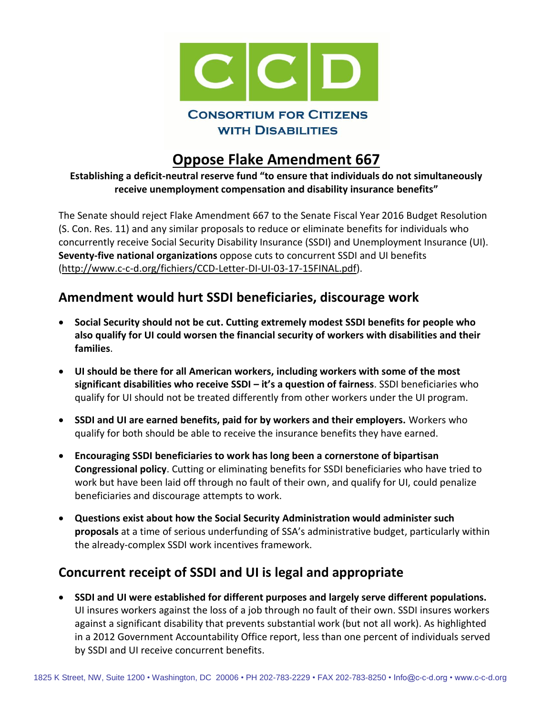

## **Oppose Flake Amendment 667**

**Establishing a deficit-neutral reserve fund "to ensure that individuals do not simultaneously receive unemployment compensation and disability insurance benefits"**

The Senate should reject Flake Amendment 667 to the Senate Fiscal Year 2016 Budget Resolution (S. Con. Res. 11) and any similar proposals to reduce or eliminate benefits for individuals who concurrently receive Social Security Disability Insurance (SSDI) and Unemployment Insurance (UI). **Seventy-five national organizations** oppose cuts to concurrent SSDI and UI benefits [\(http://www.c-c-d.org/fichiers/CCD-Letter-DI-UI-03-17-15FINAL.pdf\)](http://www.c-c-d.org/fichiers/CCD-Letter-DI-UI-03-17-15FINAL.pdf).

## **Amendment would hurt SSDI beneficiaries, discourage work**

- **Social Security should not be cut. Cutting extremely modest SSDI benefits for people who also qualify for UI could worsen the financial security of workers with disabilities and their families**.
- **UI should be there for all American workers, including workers with some of the most significant disabilities who receive SSDI – it's a question of fairness**. SSDI beneficiaries who qualify for UI should not be treated differently from other workers under the UI program.
- **SSDI and UI are earned benefits, paid for by workers and their employers.** Workers who qualify for both should be able to receive the insurance benefits they have earned.
- **Encouraging SSDI beneficiaries to work has long been a cornerstone of bipartisan Congressional policy**. Cutting or eliminating benefits for SSDI beneficiaries who have tried to work but have been laid off through no fault of their own, and qualify for UI, could penalize beneficiaries and discourage attempts to work.
- **Questions exist about how the Social Security Administration would administer such proposals** at a time of serious underfunding of SSA's administrative budget, particularly within the already-complex SSDI work incentives framework.

## **Concurrent receipt of SSDI and UI is legal and appropriate**

 **SSDI and UI were established for different purposes and largely serve different populations.**  UI insures workers against the loss of a job through no fault of their own. SSDI insures workers against a significant disability that prevents substantial work (but not all work). As highlighted in a 2012 Government Accountability Office report, less than one percent of individuals served by SSDI and UI receive concurrent benefits.